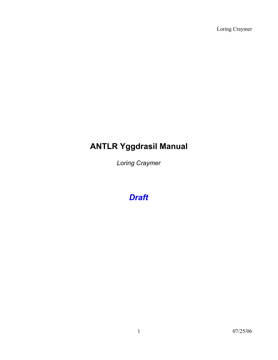Loring Craymer

# **ANTLR Yggdrasil Manual**

*Loring Craymer*

*Draft*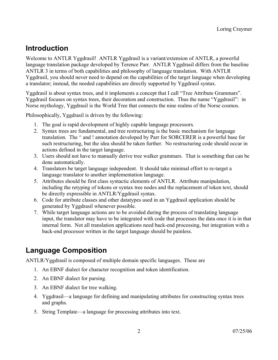### **Introduction**

Welcome to ANTLR Yggdrasil! ANTLR Yggdrasil is a variant/extension of ANTLR, a powerful language translation package developed by Terence Parr. ANTLR Yggdrasil differs from the baseline ANTLR 3 in terms of both capabilities and philosophy of language translation. With ANTLR Yggdrasil, you should never need to depend on the capabilities of the target language when developing a translator; instead, the needed capabilities are directly supported by Yggdrasil syntax.

Yggdrasil is about syntax trees, and it implements a concept that I call "Tree Attribute Grammars". Yggdrasil focuses on syntax trees, their decoration and construction. Thus the name "Yggdrasil": in Norse mythology, Yggdrasil is the World Tree that connects the nine realms of the Norse cosmos.

Philosophically, Yggdrasil is driven by the following:

- 1. The goal is rapid development of highly capable language processors.
- 2. Syntax trees are fundamental, and tree restructuring is the basic mechanism for language translation. The  $^{\wedge}$  and ! annotation developed by Parr for SORCERER is a powerful base for such restructuring, but the idea should be taken further. No restructuring code should occur in actions defined in the target language.
- 3. Users should not have to manually derive tree walker grammars. That is something that can be done automatically.
- 4. Translators be target language independent. It should take minimal effort to re-target a language translator to another implementation language.
- 5. Attributes should be first class syntactic elements of ANTLR. Attribute manipulation, including the retyping of tokens or syntax tree nodes and the replacement of token text, should be directly expressible in ANTLR/Yggdrasil syntax.
- 6. Code for attribute classes and other datatypes used in an Yggdrasil application should be generated by Yggdrasil whenever possible.
- 7. While target language actions are to be avoided during the process of translating language input, the translator may have to be integrated with code that processes the data once it is in that internal form. Not all translation applications need back-end processing, but integration with a back-end processor written in the target language should be painless.

### **Language Composition**

ANTLR/Yggdrasil is composed of multiple domain specific languages. These are

- 1. An EBNF dialect for character recognition and token identification.
- 2. An EBNF dialect for parsing.
- 3. An EBNF dialect for tree walking.
- 4. Yggdrasil—a language for defining and manipulating attributes for constructing syntax trees and graphs.
- 5. String Template—a language for processing attributes into text.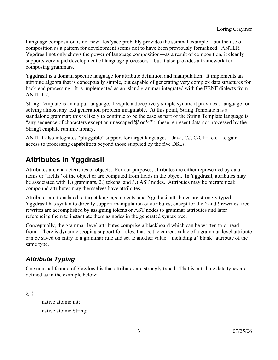Language composition is not new--lex/yacc probably provides the seminal example—but the use of composition as a pattern for development seems not to have been previously formalized. ANTLR Yggdrasil not only shows the power of language composition—as a result of composition, it cleanly supports very rapid development of language processors—but it also provides a framework for composing grammars.

Yggdrasil is a domain specific language for attribute definition and manipulation. It implements an attribute algebra that is conceptually simple, but capable of generating very complex data structures for back-end processing. It is implemented as an island grammar integrated with the EBNF dialects from ANTLR 2.

String Template is an output language. Despite a deceptively simple syntax, it provides a language for solving almost any text generation problem imaginable. At this point, String Template has a standalone grammar; this is likely to continue to be the case as part of the String Template language is "any sequence of characters except an unescaped '\$' or '<'": these represent data not processed by the StringTemplate runtime library.

ANTLR also integrates "pluggable" support for target languages—Java, C#, C/C++, etc.--to gain access to processing capabilities beyond those supplied by the five DSLs.

## **Attributes in Yggdrasil**

Attributes are characteristics of objects. For our purposes, attributes are either represented by data items or "fields" of the object or are computed from fields in the object. In Yggdrasil, attributes may be associated with 1.) grammars, 2.) tokens, and 3.) AST nodes. Attributes may be hierarchical: compound attributes may themselves have attributes.

Attributes are translated to target language objects, and Yggdrasil attributes are strongly typed. Yggdrasil has syntax to directly support manipulation of attributes; except for the  $\land$  and ! rewrites, tree rewrites are accomplished by assigning tokens or AST nodes to grammar attributes and later referencing them to instantiate them as nodes in the generated syntax tree.

Conceptually, the grammar-level attributes comprise a blackboard which can be written to or read from. There is dynamic scoping support for rules; that is, the current value of a grammar-level attribute can be saved on entry to a grammar rule and set to another value—including a "blank" attribute of the same type.

#### *Attribute Typing*

One unusual feature of Yggdrasil is that attributes are strongly typed. That is, attribute data types are defined as in the example below:

 $\omega$ 

native atomic int; native atomic String;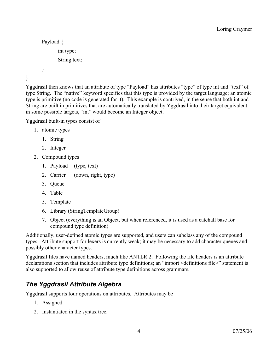```
Payload {
       int type;
       String text;
}
```
}

Yggdrasil then knows that an attribute of type "Payload" has attributes "type" of type int and "text" of type String. The "native" keyword specifies that this type is provided by the target language; an atomic type is primitive (no code is generated for it). This example is contrived, in the sense that both int and String are built in primitives that are automatically translated by Yggdrasil into their target equivalent: in some possible targets, "int" would become an Integer object.

Yggdrasil built-in types consist of

- 1. atomic types
	- 1. String
	- 2. Integer
- 2. Compound types
	- 1. Payload (type, text)
	- 2. Carrier (down, right, type)
	- 3. Queue
	- 4. Table
	- 5. Template
	- 6. Library (StringTemplateGroup)
	- 7. Object (everything is an Object, but when referenced, it is used as a catchall base for compound type definition)

Additionally, user-defined atomic types are supported, and users can subclass any of the compound types. Attribute support for lexers is currently weak; it may be necessary to add character queues and possibly other character types.

Yggdrasil files have named headers, much like ANTLR 2. Following the file headers is an attribute declarations section that includes attribute type definitions; an "import <definitions file>" statement is also supported to allow reuse of attribute type definitions across grammars.

#### *The Yggdrasil Attribute Algebra*

Yggdrasil supports four operations on attributes. Attributes may be

- 1. Assigned.
- 2. Instantiated in the syntax tree.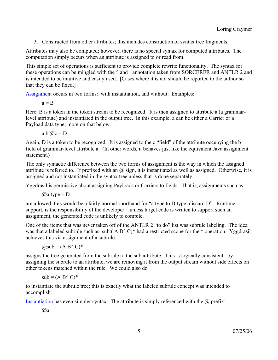3. Constructed from other attributes; this includes construction of syntax tree fragments.

Attributes may also be computed; however, there is no special syntax for computed attributes. The computation simply occurs when an attribute is assigned to or read from.

This simple set of operations is sufficient to provide complete rewrite functionality. The syntax for these operations can be mingled with the  $\land$  and ! annotation taken from SORCERER and ANTLR 2 and is intended to be intuitive and easily used. [Cases where it is not should be reported to the author so that they can be fixed.]

Assignment occurs in two forms: with instantiation, and without. Examples:

 $a = B$ 

Here, B is a token in the token stream to be recognized. It is then assigned to attribute a (a grammarlevel attribute) and instantiated in the output tree. In this example, a can be either a Carrier or a Payload data type; more on that below.

 $a.b.$   $\omega$ c = D

Again, D is a token to be recognized. It is assigned to the c "field" of the attribute occupying the b field of grammar-level attribute a. (In other words, it behaves just like the equivalent Java assignment statement.)

The only syntactic difference between the two forms of assignment is the way in which the assigned attribute is referred to. If prefixed with an  $\omega$  sign, it is instantiated as well as assigned. Otherwise, it is assigned and not instantiated in the syntax tree unless that is done separately.

Yggdrasil is permissive about assigning Payloads or Carriers to fields. That is, assignments such as

 $(a)$ a.type = D

are allowed; this would be a fairly normal shorthand for "a.type to D.type; discard D". Runtime support, is the responsibility of the developer—unless target code is written to support such an assignment, the generated code is unlikely to compile.

One of the items that was never taken off of the ANTLR 2 "to do" list was subrule labeling. The idea was that a labeled subrule such as sub:  $(A B^{\wedge} C)^*$  had a restricted scope for the  $\wedge$  operation. Yggdrasil achieves this via assignment of a subrule:

 $(a)$ sub =  $(A B^{\wedge} C)^*$ 

assigns the tree generated from the subrule to the sub attribute. This is logically consistent: by assigning the subrule to an attribute, we are removing it from the output stream without side effects on other tokens matched within the rule. We could also do

 $sub = (A B^{\wedge} C)^*$ 

to instantiate the subrule tree; this is exactly what the labeled subrule concept was intended to accomplish.

Instantiation has even simpler syntax. The attribute is simply referenced with the  $\omega$  prefix:

 $@a$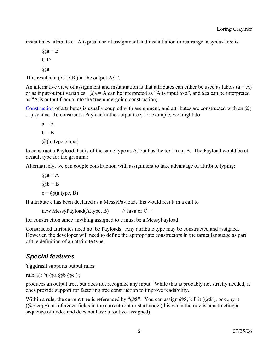instantiates attribute a. A typical use of assignment and instantiation to rearrange a syntax tree is

 $(a)$  $a = B$ C D  $@a$ 

This results in ( C D B ) in the output AST.

An alternative view of assignment and instantiation is that attributes can either be used as labels  $(a = A)$ or as input/output variables:  $Q_a = A$  can be interpreted as "A is input to a", and  $Q_a$  can be interpreted as "A is output from a into the tree undergoing construction).

Construction of attributes is usually coupled with assignment, and attributes are constructed with an @( ... ) syntax. To construct a Payload in the output tree, for example, we might do

 $a = A$  $h = B$  $(a)$  (a.type b.text)

to construct a Payload that is of the same type as A, but has the text from B. The Payload would be of default type for the grammar.

Alternatively, we can couple construction with assignment to take advantage of attribute typing:

 $(a)$  $a = A$  $(a)b = B$  $c = \omega(a.type, B)$ 

If attribute c has been declared as a MessyPayload, this would result in a call to

new MessyPayload(A.type, B)  $\frac{1}{2}$  // Java or C++

for construction since anything assigned to c must be a MessyPayload.

Constructed attributes need not be Payloads. Any attribute type may be constructed and assigned. However, the developer will need to define the appropriate constructors in the target language as part of the definition of an attribute type.

#### *Special features*

Yggdrasil supports output rules:

rule  $\omega$ :  $\land$   $\omega$ a  $\omega$ b  $\omega$ c);

produces an output tree, but does not recognize any input. While this is probably not strictly needed, it does provide support for factoring tree construction to improve readability.

Within a rule, the current tree is referenced by " $@$$ ". You can assign  $@$$ , kill it  $(Q$!)$ , or copy it (@\$.copy) or reference fields in the current root or start node (this when the rule is constructing a sequence of nodes and does not have a root yet assigned).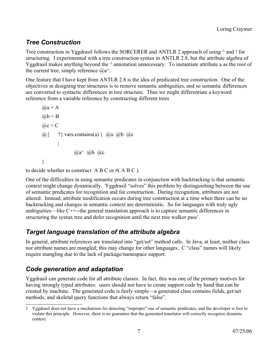### *Tree Construction*

Tree construction in Yggdrasil follows the SORCERER and ANTLR 2 approach of using  $\land$  and ! for structuring. I experimented with a tree construction syntax in ANTLR 2.8, but the attribute algebra of Yggdrasil makes anything beyond the ^ annotation unnecessary. To instantiate attribute a as the root of the current tree, simply reference  $(a)a^{\wedge}$ .

One feature that I have kept from ANTLR 2.8 is the idea of predicated tree construction. One of the objectives in designing tree structures is to remove semantic ambiguities, and so semantic differences are converted to syntactic differences in tree structure. Thus we might differentiate a keyword reference from a variable reference by constructing different trees

```
(a)a = A(a)b = B@c = C\omega{ ?{ vars.contains(a) } \omegaa \omegab \omegac
        |
                 (a)a^{\wedge} (a)b (a)c}
```
to decide whether to construct  $A B C$  or #( $A B C$ ).

One of the difficulties in using semantic predicates in conjunction with backtracking is that semantic context might change dynamically. Yggdrasil "solves" this problem by distinguishing between the use of semantic predicates for recognition and for construction. During recognition, attributes are not altered. Instead, attribute modification occurs during tree construction at a time when there can be no backtracking and changes in semantic context are deterministic. So for languages with truly ugly ambiguities—like C++--the general translation approach is to capture semantic differences in structuring the syntax tree and defer recognition until the next tree walker pass<sup>[1](#page-6-0)</sup>.

#### *Target language translation of the attribute algebra*

In general, attribute references are translated into "get/set" method calls. In Java, at least, neither class nor attribute names are mangled; this may change for other languages. C "class" names will likely require mangling due to the lack of package/namespace support.

### *Code generation and adaptation*

Yggdrasil can generate code for all attribute classes. In fact, this was one of the primary motives for having strongly typed attributes: users should not have to create support code by hand that can be created by machine. The generated code is fairly simple—a generated class contains fields, get/set methods, and skeletal query functions that always return "false".

<span id="page-6-0"></span><sup>1</sup> Yggdrasil does not have a mechanism for detecting "improper" use of semantic predicates, and the developer is free to violate this principle. However, there is no guarantee that the generated translator will correctly recognize dynamic context.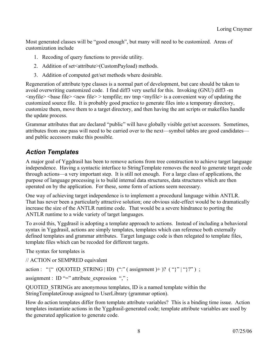Most generated classes will be "good enough", but many will need to be customized. Areas of customization include

- 1. Recoding of query functions to provide utility.
- 2. Addition of set<attribute>(CustomPayload) methods.
- 3. Addition of computed get/set methods where desirable.

Regeneration of attribute type classes is a normal part of development, but care should be taken to avoid overwriting customized code. I find diff3 very useful for this. Invoking (GNU) diff3 -m  $\langle \text{myfile}\rangle$   $\langle \text{base file}\rangle$   $\langle \text{new file}\rangle$   $\rangle$  tempfile; mv tmp  $\langle \text{myfile}\rangle$  is a convenient way of updating the customized source file. It is probably good practice to generate files into a temporary directory, customize them, move them to a target directory, and then having the ant scripts or makefiles handle the update process.

Grammar attributes that are declared "public" will have globally visible get/set accessors. Sometimes, attributes from one pass will need to be carried over to the next—symbol tables are good candidates and public accessors make this possible.

#### *Action Templates*

A major goal of Yggdrasil has been to remove actions from tree construction to achieve target language independence. Having a syntactic interface to StringTemplate removes the need to generate target code through actions—a very important step. It is still not enough. For a large class of applications, the purpose of language processing is to build internal data structures, data structures which are then operated on by the application. For these, some form of actions seem necessary.

One way of achieving target independence is to implement a procedural language within ANTLR. That has never been a particularly attractive solution; one obvious side-effect would be to dramatically increase the size of the ANTLR runtime code. That would be a severe hindrance to porting the ANTLR runtime to a wide variety of target languages.

To avoid this, Yggdrasil is adopting a template approach to actions. Instead of including a behavioral syntax in Yggdrasil, actions are simply templates, templates which can reference both externally defined templates and grammar attributes. Target language code is then relegated to template files, template files which can be recoded for different targets.

The syntax for templates is

// ACTION or SEMPRED equivalent

action : "{" (QUOTED\_STRING | ID) (":" ( assignment )+ ? ( "}" | "}?" ) ;

assignment : ID "=" attribute\_expression ",";

QUOTED\_STRINGs are anonymous templates, ID is a named template within the StringTemplateGroup assigned to UserLibrary (grammar option).

How do action templates differ from template attribute variables? This is a binding time issue. Action templates instantiate actions in the Yggdrasil-generated code; template attribute variables are used by the generated application to generate code.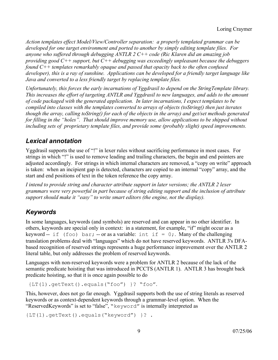*Action templates effect Model/View/Controller separation: a properly templated grammar can be developed for one target environment and ported to another by simply editing template files. For anyone who suffered through debugging ANTLR 2 C++ code (Ric Klaren did an amazing job providing good C++ support, but C++ debugging was exceedingly unpleasant because the debuggers found C++ templates remarkably opaque and passed that opacity back to the often confused developer), this is a ray of sunshine. Applications can be developed for a friendly target language like Java and converted to a less friendly target by replacing template files.*

*Unfortunately, this forces the early incarnations of Yggdrasil to depend on the StringTemplate library. This increases the effort of targeting ANTLR and Yggdrasil to new languages, and adds to the amount of code packaged with the generated application. In later incarnations, I expect templates to be compiled into classes with the templates converted to arrays of objects (toString() then just iterates though the array, calling toString() for each of the objects in the array) and get/set methods generated for filling in the "holes". That should improve memory use, allow applications to be shipped without including sets of proprietary template files, and provide some (probably slight) speed improvements.*

#### *Lexical annotation*

Yggdrasil supports the use of "!" in lexer rules without sacrificing performance in most cases. For strings in which "!" is used to remove leading and trailing characters, the begin and end pointers are adjusted accordingly. For strings in which internal characters are removed, a "copy on write" approach is taken: when an incipient gap is detected, characters are copied to an internal "copy" array, and the start and end positions of text in the token reference the copy array.

*I intend to provide string and character attribute support in later versions; the ANTLR 2 lexer grammars were very powerful in part because of string editing support and the inclusion of attribute support should make it "easy" to write smart editors (the engine, not the display).*

#### *Keywords*

In some languages, keywords (and symbols) are reserved and can appear in no other identifier. In others, keywords are special only in context: in a statement, for example, "if" might occur as a keyword -- if (foo) bar; -- or as a variable: int if = 0;. Many of the challenging translation problems deal with "languages" which do not have reserved keywords. ANTLR 3's DFAbased recognition of reserved strings represents a huge performance improvement over the ANTLR 2 literal table, but only addresses the problem of reserved keywords.

Languages with non-reserved keywords were a problem for ANTLR 2 because of the lack of the semantic predicate hoisting that was introduced in PCCTS (ANTLR 1). ANTLR 3 has brought back predicate hoisting, so that it is once again possible to do

```
 {LT(1).getText().equals("foo") }? "foo".
```
This, however, does not go far enough. Yggdrasil supports both the use of string literals as reserved keywords or as context-dependent keywords through a grammar-level option. When the "ReservedKeywords" is set to "false", "keyword" is internally interpreted as

```
{LT(1).getText().equals("keyword") }? .
```